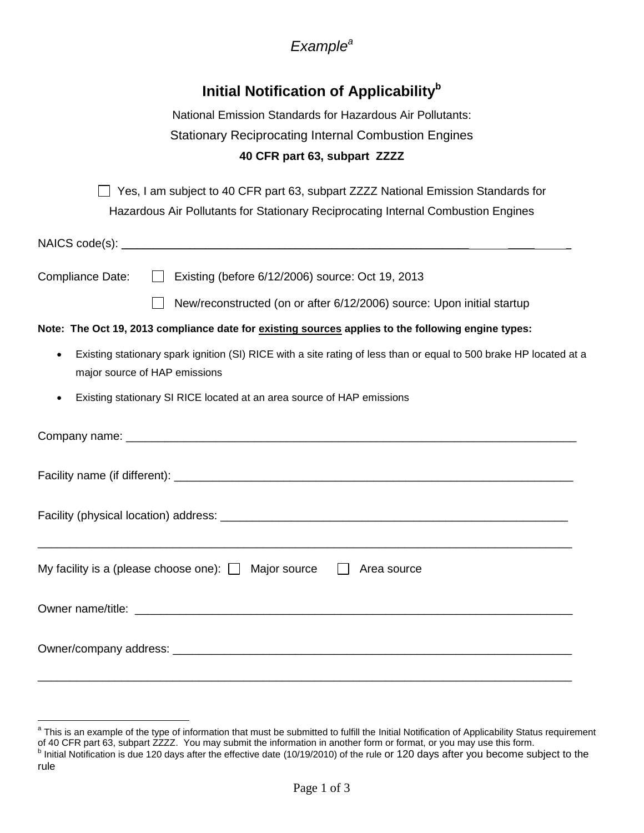## *Example<sup>a</sup>*

# **Initial Notification of Applicability<sup>b</sup>**

| 40 CFR part 63, subpart ZZZZ                                |  |
|-------------------------------------------------------------|--|
| <b>Stationary Reciprocating Internal Combustion Engines</b> |  |
| National Emission Standards for Hazardous Air Pollutants:   |  |

□ Yes, I am subject to 40 CFR part 63, subpart ZZZZ National Emission Standards for Hazardous Air Pollutants for Stationary Reciprocating Internal Combustion Engines

 $NAICS code(s):$ 

Compliance Date: □ Existing (before 6/12/2006) source: Oct 19, 2013

New/reconstructed (on or after 6/12/2006) source: Upon initial startup

**Note: The Oct 19, 2013 compliance date for existing sources applies to the following engine types:**

- Existing stationary spark ignition (SI) RICE with a site rating of less than or equal to 500 brake HP located at a major source of HAP emissions
- Existing stationary SI RICE located at an area source of HAP emissions

| My facility is a (please choose one): $\Box$ Major source $\Box$ Area source |
|------------------------------------------------------------------------------|
|                                                                              |
|                                                                              |
|                                                                              |

 $\overline{a}$ <sup>a</sup> This is an example of the type of information that must be submitted to fulfill the Initial Notification of Applicability Status requirement

of 40 CFR part 63, subpart ZZZZ. You may submit the information in another form or format, or you may use this form. <sup>b</sup> Initial Notification is due 120 days after the effective date (10/19/2010) of the rule or 120 days after you become subject to the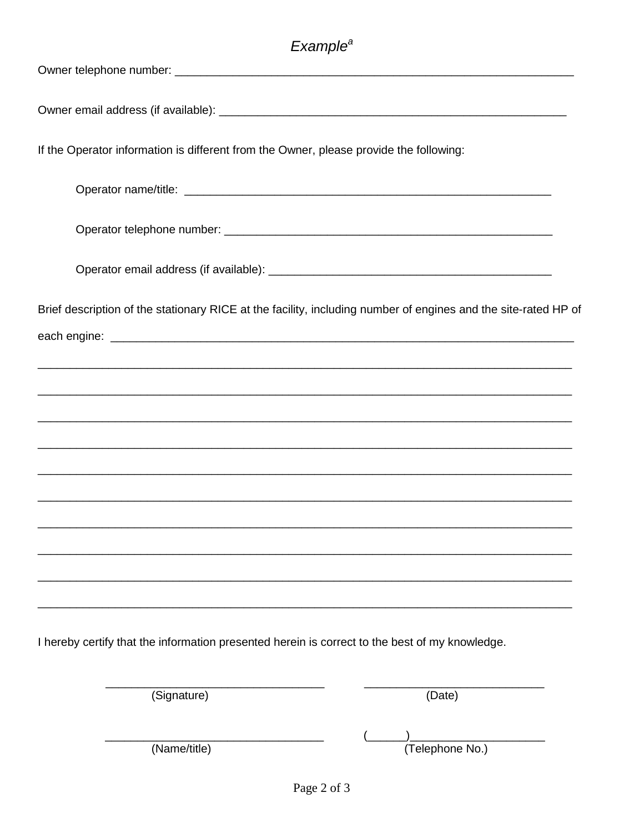# Example<sup>a</sup>

| If the Operator information is different from the Owner, please provide the following:                         |
|----------------------------------------------------------------------------------------------------------------|
|                                                                                                                |
|                                                                                                                |
|                                                                                                                |
| Brief description of the stationary RICE at the facility, including number of engines and the site-rated HP of |
|                                                                                                                |
|                                                                                                                |
|                                                                                                                |
|                                                                                                                |
| ,我们也不能在这里的,我们也不能在这里的人,我们也不能在这里的人,我们也不能在这里的人,我们也不能在这里的人,我们也不能在这里的人,我们也不能在这里的人,我们也不                              |
| ,我们也不能在这里的,我们也不能在这里的时候,我们也不能在这里的时候,我们也不能不能在这里的时候,我们也不能不能不能会不能不能会不能不能会不能不能会不能不能会不能                              |
|                                                                                                                |
|                                                                                                                |
|                                                                                                                |
|                                                                                                                |

I hereby certify that the information presented herein is correct to the best of my knowledge.

| (Signature)  | (Date)          |
|--------------|-----------------|
| (Name/title) | (Telephone No.) |